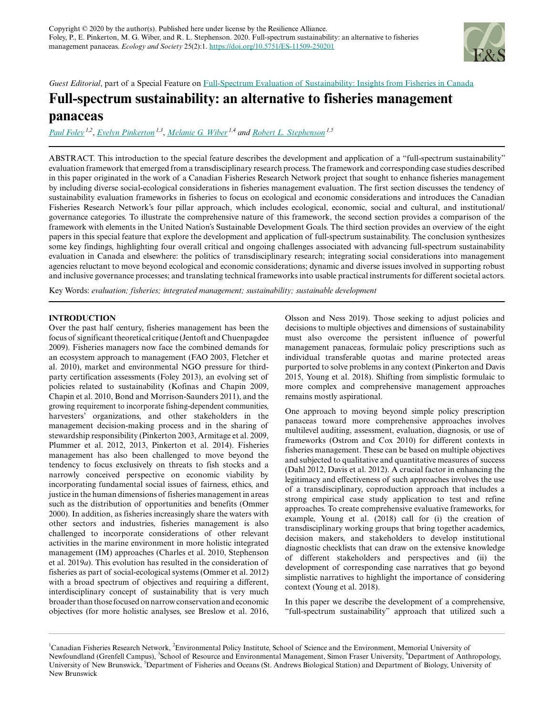

*Guest Editorial*, part of a Special Feature on [Full-Spectrum Evaluation of Sustainability: Insights from Fisheries in Canada](https://www.ecologyandsociety.org/viewissue.php?sf=132)

# **Full-spectrum sustainability: an alternative to fisheries management panaceas**

*[Paul Foley](mailto:pfoley@grenfell.mun.ca) 1,2* , *[Evelyn Pinkerton](mailto:epinkert@sfu.ca) 1,3* , *[Melanie G. Wiber](mailto:wiber@unb.ca) 1,4 and [Robert L. Stephenson](mailto:Robert.Stephenson@dfo-mpo.gc.ca) 1,5*

ABSTRACT. This introduction to the special feature describes the development and application of a "full-spectrum sustainability" evaluation framework that emerged from a transdisciplinary research process. The framework and corresponding case studies described in this paper originated in the work of a Canadian Fisheries Research Network project that sought to enhance fisheries management by including diverse social-ecological considerations in fisheries management evaluation. The first section discusses the tendency of sustainability evaluation frameworks in fisheries to focus on ecological and economic considerations and introduces the Canadian Fisheries Research Network's four pillar approach, which includes ecological, economic, social and cultural, and institutional/ governance categories. To illustrate the comprehensive nature of this framework, the second section provides a comparison of the framework with elements in the United Nation's Sustainable Development Goals. The third section provides an overview of the eight papers in this special feature that explore the development and application of full-spectrum sustainability. The conclusion synthesizes some key findings, highlighting four overall critical and ongoing challenges associated with advancing full-spectrum sustainability evaluation in Canada and elsewhere: the politics of transdisciplinary research; integrating social considerations into management agencies reluctant to move beyond ecological and economic considerations; dynamic and diverse issues involved in supporting robust and inclusive governance processes; and translating technical frameworks into usable practical instruments for different societal actors.

Key Words: *evaluation; fisheries; integrated management; sustainability; sustainable development*

# **INTRODUCTION**

Over the past half century, fisheries management has been the focus of significant theoretical critique (Jentoft and Chuenpagdee 2009). Fisheries managers now face the combined demands for an ecosystem approach to management (FAO 2003, Fletcher et al. 2010), market and environmental NGO pressure for thirdparty certification assessments (Foley 2013), an evolving set of policies related to sustainability (Kofinas and Chapin 2009, Chapin et al. 2010, Bond and Morrison-Saunders 2011), and the growing requirement to incorporate fishing-dependent communities, harvesters' organizations, and other stakeholders in the management decision-making process and in the sharing of stewardship responsibility (Pinkerton 2003, Armitage et al. 2009, Plummer et al. 2012, 2013, Pinkerton et al. 2014). Fisheries management has also been challenged to move beyond the tendency to focus exclusively on threats to fish stocks and a narrowly conceived perspective on economic viability by incorporating fundamental social issues of fairness, ethics, and justice in the human dimensions of fisheries management in areas such as the distribution of opportunities and benefits (Ommer 2000). In addition, as fisheries increasingly share the waters with other sectors and industries, fisheries management is also challenged to incorporate considerations of other relevant activities in the marine environment in more holistic integrated management (IM) approaches (Charles et al. 2010, Stephenson et al. 2019*a*). This evolution has resulted in the consideration of fisheries as part of social-ecological systems (Ommer et al. 2012) with a broad spectrum of objectives and requiring a different, interdisciplinary concept of sustainability that is very much broader than those focused on narrow conservation and economic objectives (for more holistic analyses, see Breslow et al. 2016,

Olsson and Ness 2019). Those seeking to adjust policies and decisions to multiple objectives and dimensions of sustainability must also overcome the persistent influence of powerful management panaceas, formulaic policy prescriptions such as individual transferable quotas and marine protected areas purported to solve problems in any context (Pinkerton and Davis 2015, Young et al. 2018). Shifting from simplistic formulaic to more complex and comprehensive management approaches remains mostly aspirational.

One approach to moving beyond simple policy prescription panaceas toward more comprehensive approaches involves multilevel auditing, assessment, evaluation, diagnosis, or use of frameworks (Ostrom and Cox 2010) for different contexts in fisheries management. These can be based on multiple objectives and subjected to qualitative and quantitative measures of success (Dahl 2012, Davis et al. 2012). A crucial factor in enhancing the legitimacy and effectiveness of such approaches involves the use of a transdisciplinary, coproduction approach that includes a strong empirical case study application to test and refine approaches. To create comprehensive evaluative frameworks, for example, Young et al. (2018) call for (i) the creation of transdisciplinary working groups that bring together academics, decision makers, and stakeholders to develop institutional diagnostic checklists that can draw on the extensive knowledge of different stakeholders and perspectives and (ii) the development of corresponding case narratives that go beyond simplistic narratives to highlight the importance of considering context (Young et al. 2018).

In this paper we describe the development of a comprehensive, "full-spectrum sustainability" approach that utilized such a

<sup>&</sup>lt;sup>1</sup>Canadian Fisheries Research Network, <sup>2</sup>Environmental Policy Institute, School of Science and the Environment, Memorial University of Newfoundland (Grenfell Campus), <sup>3</sup>School of Resource and Environmental Management, Simon Fraser University, <sup>4</sup>Department of Anthropology, University of New Brunswick, <sup>5</sup>Department of Fisheries and Oceans (St. Andrews Biological Station) and Department of Biology, University of New Brunswick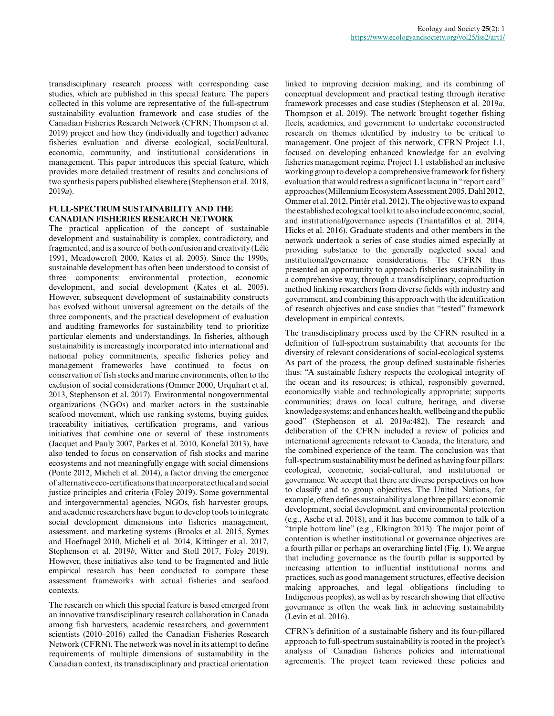transdisciplinary research process with corresponding case studies, which are published in this special feature. The papers collected in this volume are representative of the full-spectrum sustainability evaluation framework and case studies of the Canadian Fisheries Research Network (CFRN; Thompson et al. 2019) project and how they (individually and together) advance fisheries evaluation and diverse ecological, social/cultural, economic, community, and institutional considerations in management. This paper introduces this special feature, which provides more detailed treatment of results and conclusions of two synthesis papers published elsewhere (Stephenson et al. 2018, 2019*a*).

## **FULL-SPECTRUM SUSTAINABILITY AND THE CANADIAN FISHERIES RESEARCH NETWORK**

The practical application of the concept of sustainable development and sustainability is complex, contradictory, and fragmented, and is a source of both confusion and creativity (Lélé 1991, Meadowcroft 2000, Kates et al. 2005). Since the 1990s, sustainable development has often been understood to consist of three components: environmental protection, economic development, and social development (Kates et al. 2005). However, subsequent development of sustainability constructs has evolved without universal agreement on the details of the three components, and the practical development of evaluation and auditing frameworks for sustainability tend to prioritize particular elements and understandings. In fisheries, although sustainability is increasingly incorporated into international and national policy commitments, specific fisheries policy and management frameworks have continued to focus on conservation of fish stocks and marine environments, often to the exclusion of social considerations (Ommer 2000, Urquhart et al. 2013, Stephenson et al. 2017). Environmental nongovernmental organizations (NGOs) and market actors in the sustainable seafood movement, which use ranking systems, buying guides, traceability initiatives, certification programs, and various initiatives that combine one or several of these instruments (Jacquet and Pauly 2007, Parkes et al. 2010, Konefal 2013), have also tended to focus on conservation of fish stocks and marine ecosystems and not meaningfully engage with social dimensions (Ponte 2012, Micheli et al. 2014), a factor driving the emergence of alternative eco-certifications that incorporate ethical and social justice principles and criteria (Foley 2019). Some governmental and intergovernmental agencies, NGOs, fish harvester groups, and academic researchers have begun to develop tools to integrate social development dimensions into fisheries management, assessment, and marketing systems (Brooks et al. 2015, Symes and Hoefnagel 2010, Micheli et al. 2014, Kittinger et al. 2017, Stephenson et al. 2019*b*, Witter and Stoll 2017, Foley 2019). However, these initiatives also tend to be fragmented and little empirical research has been conducted to compare these assessment frameworks with actual fisheries and seafood contexts.

The research on which this special feature is based emerged from an innovative transdisciplinary research collaboration in Canada among fish harvesters, academic researchers, and government scientists (2010–2016) called the Canadian Fisheries Research Network (CFRN). The network was novel in its attempt to define requirements of multiple dimensions of sustainability in the Canadian context, its transdisciplinary and practical orientation linked to improving decision making, and its combining of conceptual development and practical testing through iterative framework processes and case studies (Stephenson et al. 2019*a*, Thompson et al. 2019). The network brought together fishing fleets, academics, and government to undertake coconstructed research on themes identified by industry to be critical to management. One project of this network, CFRN Project 1.1, focused on developing enhanced knowledge for an evolving fisheries management regime. Project 1.1 established an inclusive working group to develop a comprehensive framework for fishery evaluation that would redress a significant lacuna in "report card" approaches (Millennium Ecosystem Assessment 2005, Dahl 2012, Ommer et al. 2012, Pintér et al. 2012). The objective was to expand the established ecological tool kit to also include economic, social, and institutional/governance aspects (Triantafillos et al. 2014, Hicks et al. 2016). Graduate students and other members in the network undertook a series of case studies aimed especially at providing substance to the generally neglected social and institutional/governance considerations. The CFRN thus presented an opportunity to approach fisheries sustainability in a comprehensive way, through a transdisciplinary, coproduction method linking researchers from diverse fields with industry and government, and combining this approach with the identification of research objectives and case studies that "tested" framework development in empirical contexts.

The transdisciplinary process used by the CFRN resulted in a definition of full-spectrum sustainability that accounts for the diversity of relevant considerations of social-ecological systems. As part of the process, the group defined sustainable fisheries thus: "A sustainable fishery respects the ecological integrity of the ocean and its resources; is ethical, responsibly governed, economically viable and technologically appropriate; supports communities; draws on local culture, heritage, and diverse knowledge systems; and enhances health, wellbeing and the public good" (Stephenson et al. 2019*a*:482). The research and deliberation of the CFRN included a review of policies and international agreements relevant to Canada, the literature, and the combined experience of the team. The conclusion was that full-spectrum sustainability must be defined as having four pillars: ecological, economic, social-cultural, and institutional or governance. We accept that there are diverse perspectives on how to classify and to group objectives. The United Nations, for example, often defines sustainability along three pillars: economic development, social development, and environmental protection (e.g., Asche et al. 2018), and it has become common to talk of a "triple bottom line" (e.g., Elkington 2013). The major point of contention is whether institutional or governance objectives are a fourth pillar or perhaps an overarching lintel (Fig. 1). We argue that including governance as the fourth pillar is supported by increasing attention to influential institutional norms and practices, such as good management structures, effective decision making approaches, and legal obligations (including to Indigenous peoples), as well as by research showing that effective governance is often the weak link in achieving sustainability (Levin et al. 2016).

CFRN's definition of a sustainable fishery and its four-pillared approach to full-spectrum sustainability is rooted in the project's analysis of Canadian fisheries policies and international agreements. The project team reviewed these policies and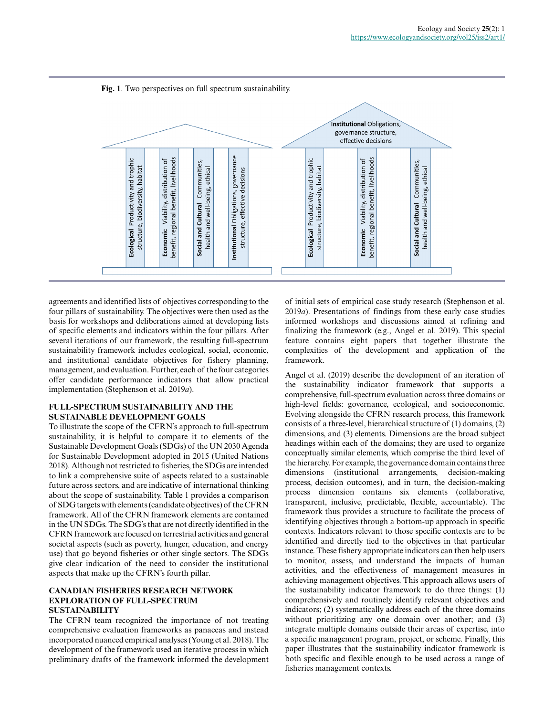

agreements and identified lists of objectives corresponding to the four pillars of sustainability. The objectives were then used as the basis for workshops and deliberations aimed at developing lists of specific elements and indicators within the four pillars. After several iterations of our framework, the resulting full-spectrum sustainability framework includes ecological, social, economic, and institutional candidate objectives for fishery planning, management, and evaluation. Further, each of the four categories offer candidate performance indicators that allow practical implementation (Stephenson et al. 2019*a*).

#### **FULL-SPECTRUM SUSTAINABILITY AND THE SUSTAINABLE DEVELOPMENT GOALS**

To illustrate the scope of the CFRN's approach to full-spectrum sustainability, it is helpful to compare it to elements of the Sustainable Development Goals (SDGs) of the UN 2030 Agenda for Sustainable Development adopted in 2015 (United Nations 2018). Although not restricted to fisheries, the SDGs are intended to link a comprehensive suite of aspects related to a sustainable future across sectors, and are indicative of international thinking about the scope of sustainability. Table 1 provides a comparison of SDG targets with elements (candidate objectives) of the CFRN framework. All of the CFRN framework elements are contained in the UN SDGs. The SDG's that are not directly identified in the CFRN framework are focused on terrestrial activities and general societal aspects (such as poverty, hunger, education, and energy use) that go beyond fisheries or other single sectors. The SDGs give clear indication of the need to consider the institutional aspects that make up the CFRN's fourth pillar.

## **CANADIAN FISHERIES RESEARCH NETWORK EXPLORATION OF FULL-SPECTRUM SUSTAINABILITY**

The CFRN team recognized the importance of not treating comprehensive evaluation frameworks as panaceas and instead incorporated nuanced empirical analyses (Young et al. 2018). The development of the framework used an iterative process in which preliminary drafts of the framework informed the development of initial sets of empirical case study research (Stephenson et al. 2019*a*). Presentations of findings from these early case studies informed workshops and discussions aimed at refining and finalizing the framework (e.g., Angel et al. 2019). This special feature contains eight papers that together illustrate the complexities of the development and application of the framework.

Angel et al. (2019) describe the development of an iteration of the sustainability indicator framework that supports a comprehensive, full-spectrum evaluation across three domains or high-level fields: governance, ecological, and socioeconomic. Evolving alongside the CFRN research process, this framework consists of a three-level, hierarchical structure of (1) domains, (2) dimensions, and (3) elements. Dimensions are the broad subject headings within each of the domains; they are used to organize conceptually similar elements, which comprise the third level of the hierarchy. For example, the governance domain contains three dimensions (institutional arrangements, decision-making process, decision outcomes), and in turn, the decision-making process dimension contains six elements (collaborative, transparent, inclusive, predictable, flexible, accountable). The framework thus provides a structure to facilitate the process of identifying objectives through a bottom-up approach in specific contexts. Indicators relevant to those specific contexts are to be identified and directly tied to the objectives in that particular instance. These fishery appropriate indicators can then help users to monitor, assess, and understand the impacts of human activities, and the effectiveness of management measures in achieving management objectives. This approach allows users of the sustainability indicator framework to do three things: (1) comprehensively and routinely identify relevant objectives and indicators; (2) systematically address each of the three domains without prioritizing any one domain over another; and (3) integrate multiple domains outside their areas of expertise, into a specific management program, project, or scheme. Finally, this paper illustrates that the sustainability indicator framework is both specific and flexible enough to be used across a range of fisheries management contexts.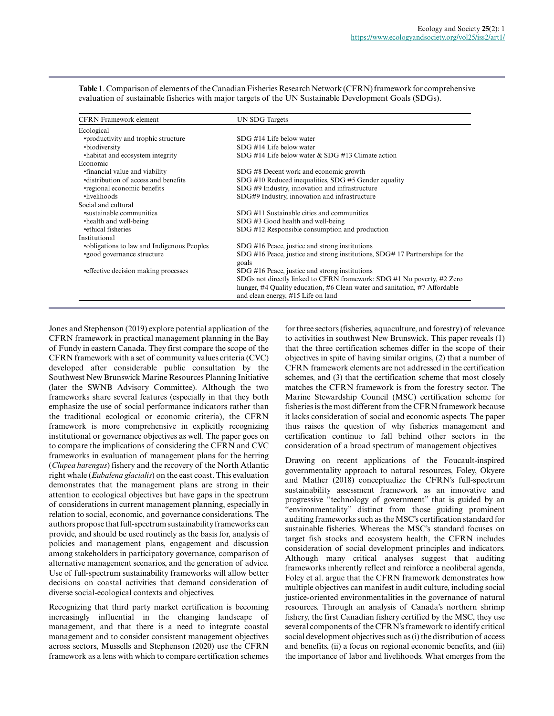**Table 1**. Comparison of elements of the Canadian Fisheries Research Network (CFRN) framework for comprehensive evaluation of sustainable fisheries with major targets of the UN Sustainable Development Goals (SDGs).

| <b>CFRN</b> Framework element               | <b>UN SDG Targets</b>                                                                 |
|---------------------------------------------|---------------------------------------------------------------------------------------|
| Ecological                                  |                                                                                       |
| • productivity and trophic structure        | SDG #14 Life below water                                                              |
| ·biodiversity                               | SDG #14 Life below water                                                              |
| • habitat and ecosystem integrity           | SDG #14 Life below water & SDG #13 Climate action                                     |
| Economic                                    |                                                                                       |
| •financial value and viability              | SDG#8 Decent work and economic growth                                                 |
| •distribution of access and benefits        | SDG #10 Reduced inequalities, SDG #5 Gender equality                                  |
| •regional economic benefits                 | SDG #9 Industry, innovation and infrastructure                                        |
| •livelihoods                                | SDG#9 Industry, innovation and infrastructure                                         |
| Social and cultural                         |                                                                                       |
| •sustainable communities                    | SDG #11 Sustainable cities and communities                                            |
| •health and well-being                      | SDG #3 Good health and well-being                                                     |
| •ethical fisheries                          | SDG #12 Responsible consumption and production                                        |
| Institutional                               |                                                                                       |
| • obligations to law and Indigenous Peoples | SDG #16 Peace, justice and strong institutions                                        |
| ·good governance structure                  | SDG #16 Peace, justice and strong institutions, SDG# 17 Partnerships for the<br>goals |
| • effective decision making processes       | SDG #16 Peace, justice and strong institutions                                        |
|                                             | SDGs not directly linked to CFRN framework: SDG #1 No poverty, #2 Zero                |
|                                             | hunger, #4 Quality education, #6 Clean water and sanitation, #7 Affordable            |
|                                             | and clean energy, #15 Life on land                                                    |

Jones and Stephenson (2019) explore potential application of the CFRN framework in practical management planning in the Bay of Fundy in eastern Canada. They first compare the scope of the CFRN framework with a set of community values criteria (CVC) developed after considerable public consultation by the Southwest New Brunswick Marine Resources Planning Initiative (later the SWNB Advisory Committee). Although the two frameworks share several features (especially in that they both emphasize the use of social performance indicators rather than the traditional ecological or economic criteria), the CFRN framework is more comprehensive in explicitly recognizing institutional or governance objectives as well. The paper goes on to compare the implications of considering the CFRN and CVC frameworks in evaluation of management plans for the herring (*Clupea harengus*) fishery and the recovery of the North Atlantic right whale (*Eubalena glacialis*) on the east coast. This evaluation demonstrates that the management plans are strong in their attention to ecological objectives but have gaps in the spectrum of considerations in current management planning, especially in relation to social, economic, and governance considerations. The authors propose that full-spectrum sustainability frameworks can provide, and should be used routinely as the basis for, analysis of policies and management plans, engagement and discussion among stakeholders in participatory governance, comparison of alternative management scenarios, and the generation of advice. Use of full-spectrum sustainability frameworks will allow better decisions on coastal activities that demand consideration of diverse social-ecological contexts and objectives.

Recognizing that third party market certification is becoming increasingly influential in the changing landscape of management, and that there is a need to integrate coastal management and to consider consistent management objectives across sectors, Mussells and Stephenson (2020) use the CFRN framework as a lens with which to compare certification schemes

for three sectors (fisheries, aquaculture, and forestry) of relevance to activities in southwest New Brunswick. This paper reveals (1) that the three certification schemes differ in the scope of their objectives in spite of having similar origins, (2) that a number of CFRN framework elements are not addressed in the certification schemes, and (3) that the certification scheme that most closely matches the CFRN framework is from the forestry sector. The Marine Stewardship Council (MSC) certification scheme for fisheries is the most different from the CFRN framework because it lacks consideration of social and economic aspects. The paper thus raises the question of why fisheries management and certification continue to fall behind other sectors in the consideration of a broad spectrum of management objectives.

Drawing on recent applications of the Foucault-inspired governmentality approach to natural resources, Foley, Okyere and Mather (2018) conceptualize the CFRN's full-spectrum sustainability assessment framework as an innovative and progressive "technology of government" that is guided by an "environmentality" distinct from those guiding prominent auditing frameworks such as the MSC's certification standard for sustainable fisheries. Whereas the MSC's standard focuses on target fish stocks and ecosystem health, the CFRN includes consideration of social development principles and indicators. Although many critical analyses suggest that auditing frameworks inherently reflect and reinforce a neoliberal agenda, Foley et al. argue that the CFRN framework demonstrates how multiple objectives can manifest in audit culture, including social justice-oriented environmentalities in the governance of natural resources. Through an analysis of Canada's northern shrimp fishery, the first Canadian fishery certified by the MSC, they use several components of the CFRN's framework to identify critical social development objectives such as (i) the distribution of access and benefits, (ii) a focus on regional economic benefits, and (iii) the importance of labor and livelihoods. What emerges from the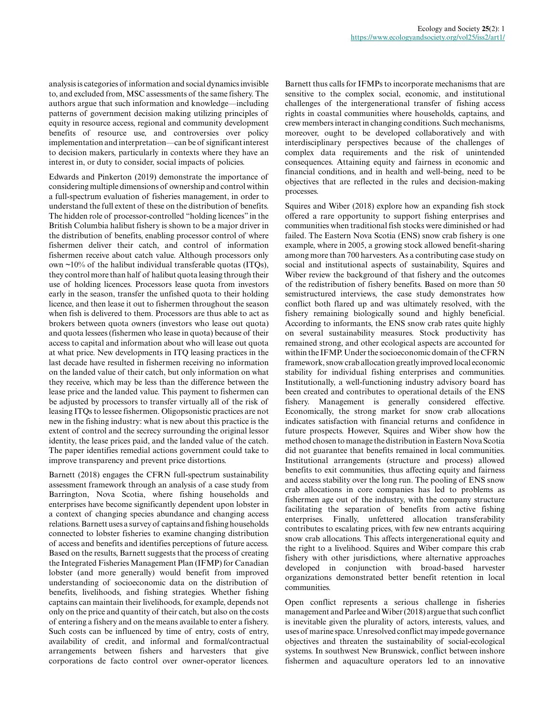analysis is categories of information and social dynamics invisible to, and excluded from, MSC assessments of the same fishery. The authors argue that such information and knowledge—including patterns of government decision making utilizing principles of equity in resource access, regional and community development benefits of resource use, and controversies over policy implementation and interpretation—can be of significant interest to decision makers, particularly in contexts where they have an interest in, or duty to consider, social impacts of policies.

Edwards and Pinkerton (2019) demonstrate the importance of considering multiple dimensions of ownership and control within a full-spectrum evaluation of fisheries management, in order to understand the full extent of these on the distribution of benefits. The hidden role of processor-controlled "holding licences" in the British Columbia halibut fishery is shown to be a major driver in the distribution of benefits, enabling processor control of where fishermen deliver their catch, and control of information fishermen receive about catch value. Although processors only own ~10% of the halibut individual transferable quotas (ITQs), they control more than half of halibut quota leasing through their use of holding licences. Processors lease quota from investors early in the season, transfer the unfished quota to their holding licence, and then lease it out to fishermen throughout the season when fish is delivered to them. Processors are thus able to act as brokers between quota owners (investors who lease out quota) and quota lessees (fishermen who lease in quota) because of their access to capital and information about who will lease out quota at what price. New developments in ITQ leasing practices in the last decade have resulted in fishermen receiving no information on the landed value of their catch, but only information on what they receive, which may be less than the difference between the lease price and the landed value. This payment to fishermen can be adjusted by processors to transfer virtually all of the risk of leasing ITQs to lessee fishermen. Oligopsonistic practices are not new in the fishing industry: what is new about this practice is the extent of control and the secrecy surrounding the original lessor identity, the lease prices paid, and the landed value of the catch. The paper identifies remedial actions government could take to improve transparency and prevent price distortions.

Barnett (2018) engages the CFRN full-spectrum sustainability assessment framework through an analysis of a case study from Barrington, Nova Scotia, where fishing households and enterprises have become significantly dependent upon lobster in a context of changing species abundance and changing access relations. Barnett uses a survey of captains and fishing households connected to lobster fisheries to examine changing distribution of access and benefits and identifies perceptions of future access. Based on the results, Barnett suggests that the process of creating the Integrated Fisheries Management Plan (IFMP) for Canadian lobster (and more generally) would benefit from improved understanding of socioeconomic data on the distribution of benefits, livelihoods, and fishing strategies. Whether fishing captains can maintain their livelihoods, for example, depends not only on the price and quantity of their catch, but also on the costs of entering a fishery and on the means available to enter a fishery. Such costs can be influenced by time of entry, costs of entry, availability of credit, and informal and formal/contractual arrangements between fishers and harvesters that give corporations de facto control over owner-operator licences.

Barnett thus calls for IFMPs to incorporate mechanisms that are sensitive to the complex social, economic, and institutional challenges of the intergenerational transfer of fishing access rights in coastal communities where households, captains, and crew members interact in changing conditions. Such mechanisms, moreover, ought to be developed collaboratively and with interdisciplinary perspectives because of the challenges of complex data requirements and the risk of unintended consequences. Attaining equity and fairness in economic and financial conditions, and in health and well-being, need to be objectives that are reflected in the rules and decision-making processes.

Squires and Wiber (2018) explore how an expanding fish stock offered a rare opportunity to support fishing enterprises and communities when traditional fish stocks were diminished or had failed. The Eastern Nova Scotia (ENS) snow crab fishery is one example, where in 2005, a growing stock allowed benefit-sharing among more than 700 harvesters. As a contributing case study on social and institutional aspects of sustainability, Squires and Wiber review the background of that fishery and the outcomes of the redistribution of fishery benefits. Based on more than 50 semistructured interviews, the case study demonstrates how conflict both flared up and was ultimately resolved, with the fishery remaining biologically sound and highly beneficial. According to informants, the ENS snow crab rates quite highly on several sustainability measures. Stock productivity has remained strong, and other ecological aspects are accounted for within the IFMP. Under the socioeconomic domain of the CFRN framework, snow crab allocation greatly improved local economic stability for individual fishing enterprises and communities. Institutionally, a well-functioning industry advisory board has been created and contributes to operational details of the ENS fishery. Management is generally considered effective. Economically, the strong market for snow crab allocations indicates satisfaction with financial returns and confidence in future prospects. However, Squires and Wiber show how the method chosen to manage the distribution in Eastern Nova Scotia did not guarantee that benefits remained in local communities. Institutional arrangements (structure and process) allowed benefits to exit communities, thus affecting equity and fairness and access stability over the long run. The pooling of ENS snow crab allocations in core companies has led to problems as fishermen age out of the industry, with the company structure facilitating the separation of benefits from active fishing enterprises. Finally, unfettered allocation transferability contributes to escalating prices, with few new entrants acquiring snow crab allocations. This affects intergenerational equity and the right to a livelihood. Squires and Wiber compare this crab fishery with other jurisdictions, where alternative approaches developed in conjunction with broad-based harvester organizations demonstrated better benefit retention in local communities.

Open conflict represents a serious challenge in fisheries management and Parlee and Wiber (2018) argue that such conflict is inevitable given the plurality of actors, interests, values, and uses of marine space. Unresolved conflict may impede governance objectives and threaten the sustainability of social-ecological systems. In southwest New Brunswick, conflict between inshore fishermen and aquaculture operators led to an innovative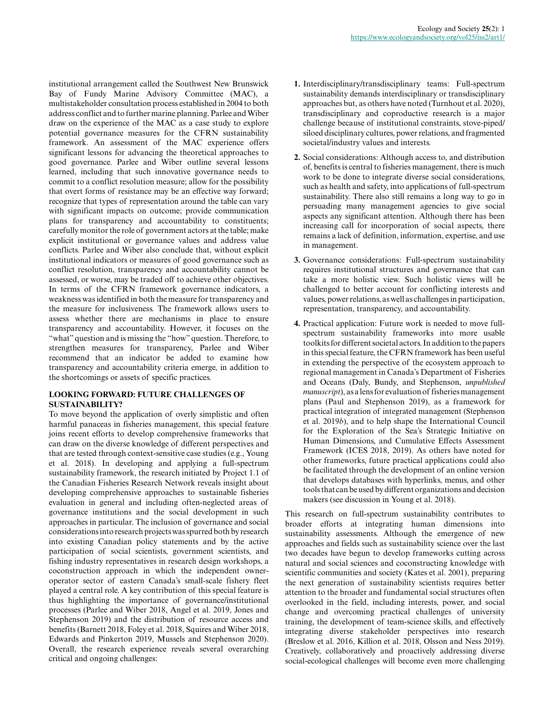institutional arrangement called the Southwest New Brunswick Bay of Fundy Marine Advisory Committee (MAC), a multistakeholder consultation process established in 2004 to both address conflict and to further marine planning. Parlee and Wiber draw on the experience of the MAC as a case study to explore potential governance measures for the CFRN sustainability framework. An assessment of the MAC experience offers significant lessons for advancing the theoretical approaches to good governance. Parlee and Wiber outline several lessons learned, including that such innovative governance needs to commit to a conflict resolution measure; allow for the possibility that overt forms of resistance may be an effective way forward; recognize that types of representation around the table can vary with significant impacts on outcome; provide communication plans for transparency and accountability to constituents; carefully monitor the role of government actors at the table; make explicit institutional or governance values and address value conflicts. Parlee and Wiber also conclude that, without explicit institutional indicators or measures of good governance such as conflict resolution, transparency and accountability cannot be assessed, or worse, may be traded off to achieve other objectives. In terms of the CFRN framework governance indicators, a weakness was identified in both the measure for transparency and the measure for inclusiveness. The framework allows users to assess whether there are mechanisms in place to ensure transparency and accountability. However, it focuses on the "what" question and is missing the "how" question. Therefore, to strengthen measures for transparency, Parlee and Wiber recommend that an indicator be added to examine how transparency and accountability criteria emerge, in addition to the shortcomings or assets of specific practices.

# **LOOKING FORWARD: FUTURE CHALLENGES OF SUSTAINABILITY?**

To move beyond the application of overly simplistic and often harmful panaceas in fisheries management, this special feature joins recent efforts to develop comprehensive frameworks that can draw on the diverse knowledge of different perspectives and that are tested through context-sensitive case studies (e.g., Young et al. 2018). In developing and applying a full-spectrum sustainability framework, the research initiated by Project 1.1 of the Canadian Fisheries Research Network reveals insight about developing comprehensive approaches to sustainable fisheries evaluation in general and including often-neglected areas of governance institutions and the social development in such approaches in particular. The inclusion of governance and social considerations into research projects was spurred both by research into existing Canadian policy statements and by the active participation of social scientists, government scientists, and fishing industry representatives in research design workshops, a coconstruction approach in which the independent owneroperator sector of eastern Canada's small-scale fishery fleet played a central role. A key contribution of this special feature is thus highlighting the importance of governance/institutional processes (Parlee and Wiber 2018, Angel et al. 2019, Jones and Stephenson 2019) and the distribution of resource access and benefits (Barnett 2018, Foley et al. 2018, Squires and Wiber 2018, Edwards and Pinkerton 2019, Mussels and Stephenson 2020). Overall, the research experience reveals several overarching critical and ongoing challenges:

- **1.** Interdisciplinary/transdisciplinary teams: Full-spectrum sustainability demands interdisciplinary or transdisciplinary approaches but, as others have noted (Turnhout et al. 2020), transdisciplinary and coproductive research is a major challenge because of institutional constraints, stove-piped/ siloed disciplinary cultures, power relations, and fragmented societal/industry values and interests.
- **2.** Social considerations: Although access to, and distribution of, benefits is central to fisheries management, there is much work to be done to integrate diverse social considerations, such as health and safety, into applications of full-spectrum sustainability. There also still remains a long way to go in persuading many management agencies to give social aspects any significant attention. Although there has been increasing call for incorporation of social aspects, there remains a lack of definition, information, expertise, and use in management.
- **3.** Governance considerations: Full-spectrum sustainability requires institutional structures and governance that can take a more holistic view. Such holistic views will be challenged to better account for conflicting interests and values, power relations, as well as challenges in participation, representation, transparency, and accountability.
- **4.** Practical application: Future work is needed to move fullspectrum sustainability frameworks into more usable toolkits for different societal actors. In addition to the papers in this special feature, the CFRN framework has been useful in extending the perspective of the ecosystem approach to regional management in Canada's Department of Fisheries and Oceans (Daly, Bundy, and Stephenson, *unpublished manuscript*), as a lens for evaluation of fisheries management plans (Paul and Stephenson 2019), as a framework for practical integration of integrated management (Stephenson et al. 2019*b*), and to help shape the International Council for the Exploration of the Sea's Strategic Initiative on Human Dimensions, and Cumulative Effects Assessment Framework (ICES 2018, 2019). As others have noted for other frameworks, future practical applications could also be facilitated through the development of an online version that develops databases with hyperlinks, menus, and other tools that can be used by different organizations and decision makers (see discussion in Young et al. 2018).

This research on full-spectrum sustainability contributes to broader efforts at integrating human dimensions into sustainability assessments. Although the emergence of new approaches and fields such as sustainability science over the last two decades have begun to develop frameworks cutting across natural and social sciences and coconstructing knowledge with scientific communities and society (Kates et al. 2001), preparing the next generation of sustainability scientists requires better attention to the broader and fundamental social structures often overlooked in the field, including interests, power, and social change and overcoming practical challenges of university training, the development of team-science skills, and effectively integrating diverse stakeholder perspectives into research (Breslow et al. 2016, Killion et al. 2018, Olsson and Ness 2019). Creatively, collaboratively and proactively addressing diverse social-ecological challenges will become even more challenging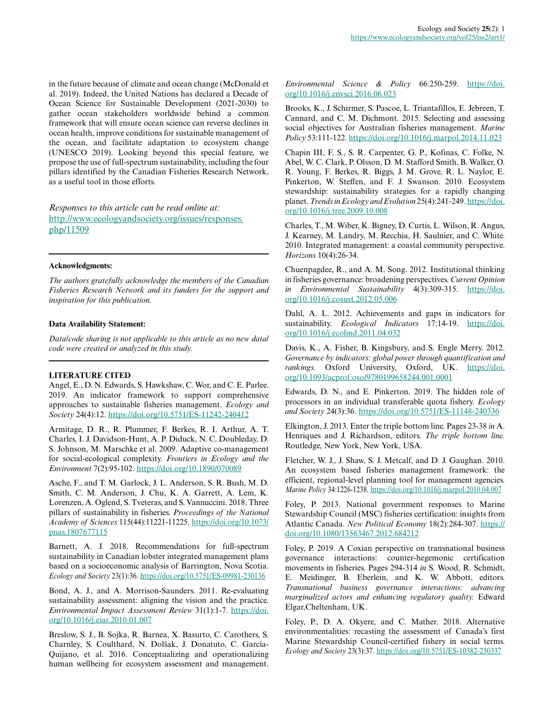in the future because of climate and ocean change (McDonald et al. 2019). Indeed, the United Nations has declared a Decade of Ocean Science for Sustainable Development (2021-2030) to gather ocean stakeholders worldwide behind a common framework that will ensure ocean science can reverse declines in ocean health, improve conditions for sustainable management of the ocean, and facilitate adaptation to ecosystem change (UNESCO 2019). Looking beyond this special feature, we propose the use of full-spectrum sustainability, including the four pillars identified by the Canadian Fisheries Research Network, as a useful tool in those efforts.

*Responses to this article can be read online at:* [http://www.ecologyandsociety.org/issues/responses.](http://www.ecologyandsociety.org/issues/responses.php/11509) [php/11509](http://www.ecologyandsociety.org/issues/responses.php/11509)

#### **Acknowledgments:**

*The authors gratefully acknowledge the members of the Canadian Fisheries Research Network and its funders for the support and inspiration for this publication.*

#### **Data Availability Statement:**

*Data/code sharing is not applicable to this article as no new data/ code were created or analyzed in this study.*

#### **LITERATURE CITED**

Angel, E., D. N. Edwards, S. Hawkshaw, C. Wor, and C. E. Parlee. 2019. An indicator framework to support comprehensive approaches to sustainable fisheries management. *Ecology and Society* 24(4):12. <https://doi.org/10.5751/ES-11242-240412>

Armitage, D. R., R. Plummer, F. Berkes, R. I. Arthur, A. T. Charles, I. J. Davidson-Hunt, A. P. Diduck, N. C. Doubleday, D. S. Johnson, M. Marschke et al. 2009. Adaptive co-management for social-ecological complexity. *Frontiers in Ecology and the Environment* 7(2):95-102.<https://doi.org/10.1890/070089>

Asche, F., and T. M. Garlock, J. L. Anderson, S. R. Bush, M. D. Smith, C. M. Anderson, J. Chu, K. A. Garrett, A. Lem, K. Lorenzen, A. Oglend, S. Tveteras, and S. Vannuccini. 2018. Three pillars of sustainability in fisheries. *Proceedings of the National Academy of Sciences* 115(44):11221-11225. [https://doi.org/10.1073/](https://doi.org/10.1073/pnas.1807677115) [pnas.1807677115](https://doi.org/10.1073/pnas.1807677115) 

Barnett, A. J. 2018. Recommendations for full-spectrum sustainability in Canadian lobster integrated management plans based on a socioeconomic analysis of Barrington, Nova Scotia. *Ecology and Society* 23(1):36.<https://doi.org/10.5751/ES-09981-230136>

Bond, A. J., and A. Morrison-Saunders. 2011. Re-evaluating sustainability assessment: aligning the vision and the practice. *Environmental Impact Assessment Review* 31(1):1-7. [https://doi.](https://doi.org/10.1016/j.eiar.2010.01.007) [org/10.1016/j.eiar.2010.01.007](https://doi.org/10.1016/j.eiar.2010.01.007) 

Breslow, S. J., B. Sojka, R. Barnea, X. Basurto, C. Carothers, S. Charnley, S. Coulthard, N. Dolšak, J. Donatuto, C. García-Quijano, et al. 2016. Conceptualizing and operationalizing human wellbeing for ecosystem assessment and management.

*Environmental Science & Policy* 66:250-259. [https://doi.](https://doi.org/10.1016/j.envsci.2016.06.023) [org/10.1016/j.envsci.2016.06.023](https://doi.org/10.1016/j.envsci.2016.06.023) 

Brooks, K., J. Schirmer, S. Pascoe, L. Triantafillos, E. Jebreen, T. Cannard, and C. M. Dichmont. 2015. Selecting and assessing social objectives for Australian fisheries management. *Marine Policy* 53:111-122.<https://doi.org/10.1016/j.marpol.2014.11.023>

Chapin III, F. S., S. R. Carpenter, G. P., Kofinas, C. Folke, N. Abel, W. C. Clark, P. Olsson, D. M. Stafford Smith, B. Walker, O. R. Young, F. Berkes, R. Biggs, J. M. Grove, R. L. Naylor, E. Pinkerton, W. Steffen, and F. J. Swanson. 2010. Ecosystem stewardship: sustainability strategies for a rapidly changing planet. *Trends in Ecology and Evolution* 25(4):241-249. [https://doi.](https://doi.org/10.1016/j.tree.2009.10.008) [org/10.1016/j.tree.2009.10.008](https://doi.org/10.1016/j.tree.2009.10.008) 

Charles, T., M. Wiber, K. Bigney, D. Curtis, L. Wilson, R. Angus, J. Kearney, M. Landry, M. Recchia, H. Saulnier, and C. White. 2010. Integrated management: a coastal community perspective. *Horizons* 10(4):26-34.

Chuenpagdee, R., and A. M. Song. 2012. Institutional thinking in fisheries governance: broadening perspectives. *Current Opinion in Environmental Sustainability* 4(3):309-315. [https://doi.](https://doi.org/10.1016/j.cosust.2012.05.006) [org/10.1016/j.cosust.2012.05.006](https://doi.org/10.1016/j.cosust.2012.05.006) 

Dahl, A. L. 2012. Achievements and gaps in indicators for sustainability. *Ecological Indicators* 17:14-19. [https://doi.](https://doi.org/10.1016/j.ecolind.2011.04.032) [org/10.1016/j.ecolind.2011.04.032](https://doi.org/10.1016/j.ecolind.2011.04.032) 

Davis, K., A. Fisher, B. Kingsbury, and S. Engle Merry. 2012. *Governance by indicators: global power through quantification and rankings.* Oxford University, Oxford, UK. [https://doi.](https://doi.org/10.1093/acprof:oso/9780199658244.001.0001) [org/10.1093/acprof:oso/9780199658244.001.0001](https://doi.org/10.1093/acprof:oso/9780199658244.001.0001) 

Edwards, D. N., and E. Pinkerton. 2019. The hidden role of processors in an individual transferable quota fishery. *Ecology and Society* 24(3):36.<https://doi.org/10.5751/ES-11148-240336>

Elkington, J. 2013. Enter the triple bottom line. Pages 23-38 *in* A. Henriques and J. Richardson, editors. *The triple bottom line.* Routledge, New York, New York, USA.

Fletcher, W. J., J. Shaw, S. J. Metcalf, and D. J. Gaughan. 2010. An ecosystem based fisheries management framework: the efficient, regional-level planning tool for management agencies. *Marine Policy* 34:1226-1238.<https://doi.org/10.1016/j.marpol.2010.04.007>

Foley, P. 2013. National government responses to Marine Stewardship Council (MSC) fisheries certification: insights from Atlantic Canada. *New Political Economy* 18(2):284-307. [https://](https://doi.org/10.1080/13563467.2012.684212) [doi.org/10.1080/13563467.2012.684212](https://doi.org/10.1080/13563467.2012.684212) 

Foley, P. 2019. A Coxian perspective on transnational business governance interactions: counter-hegemonic certification movements in fisheries. Pages 294-314 *in* S. Wood, R. Schmidt, E. Meidinger, B. Eberlein, and K. W. Abbott, editors. *Transnational business governance interactions: advancing marginalized actors and enhancing regulatory quality.* Edward Elgar,Cheltenham, UK.

Foley, P., D. A. Okyere, and C. Mather. 2018. Alternative environmentalities: recasting the assessment of Canada's first Marine Stewardship Council-certified fishery in social terms. *Ecology and Society* 23(3):37.<https://doi.org/10.5751/ES-10382-230337>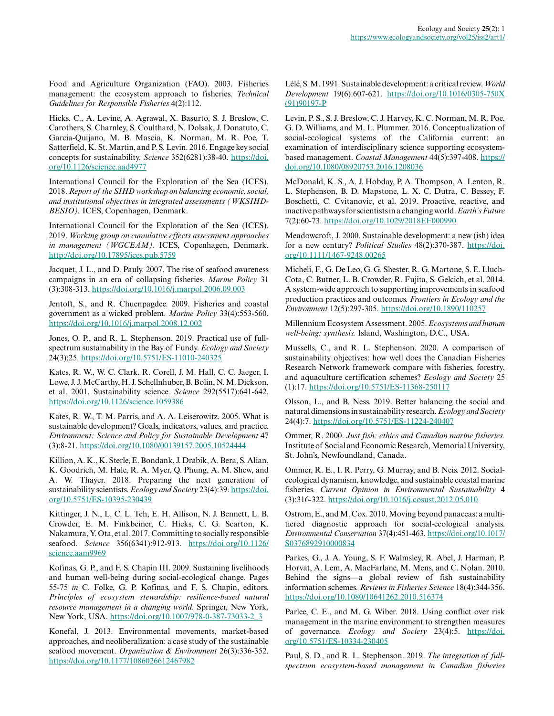Food and Agriculture Organization (FAO). 2003. Fisheries management: the ecosystem approach to fisheries. *Technical Guidelines for Responsible Fisheries* 4(2):112.

Hicks, C., A. Levine, A. Agrawal, X. Basurto, S. J. Breslow, C. Carothers, S. Charnley, S. Coulthard, N. Dolsak, J. Donatuto, C. Garcia-Quijano, M. B. Mascia, K. Norman, M. R. Poe, T. Satterfield, K. St. Martin, and P. S. Levin. 2016. Engage key social concepts for sustainability. *Science* 352(6281):38-40. [https://doi.](https://doi.org/10.1126/science.aad4977) [org/10.1126/science.aad4977](https://doi.org/10.1126/science.aad4977) 

International Council for the Exploration of the Sea (ICES). 2018. *Report of the SIHD workshop on balancing economic, social, and institutional objectives in integrated assessments (WKSIHD-BESIO).* ICES, Copenhagen, Denmark.

International Council for the Exploration of the Sea (ICES). 2019. *Working group on cumulative effects assessment approaches in management (WGCEAM).* ICES, Copenhagen, Denmark. <http://doi.org/10.17895/ices.pub.5759>

Jacquet, J. L., and D. Pauly. 2007. The rise of seafood awareness campaigns in an era of collapsing fisheries. *Marine Policy* 31 (3):308-313. <https://doi.org/10.1016/j.marpol.2006.09.003>

Jentoft, S., and R. Chuenpagdee. 2009. Fisheries and coastal government as a wicked problem. *Marine Policy* 33(4):553-560. <https://doi.org/10.1016/j.marpol.2008.12.002>

Jones, O. P., and R. L. Stephenson. 2019. Practical use of fullspectrum sustainability in the Bay of Fundy. *Ecology and Society* 24(3):25. <https://doi.org/10.5751/ES-11010-240325>

Kates, R. W., W. C. Clark, R. Corell, J. M. Hall, C. C. Jaeger, I. Lowe, J. J. McCarthy, H. J. Schellnhuber, B. Bolin, N. M. Dickson, et al. 2001. Sustainability science. *Science* 292(5517):641-642. <https://doi.org/10.1126/science.1059386>

Kates, R. W., T. M. Parris, and A. A. Leiserowitz. 2005. What is sustainable development? Goals, indicators, values, and practice. *Environment: Science and Policy for Sustainable Development* 47 (3):8-21.<https://doi.org/10.1080/00139157.2005.10524444>

Killion, A. K., K. Sterle, E. Bondank, J. Drabik, A. Bera, S. Alian, K. Goodrich, M. Hale, R. A. Myer, Q. Phung, A. M. Shew, and A. W. Thayer. 2018. Preparing the next generation of sustainability scientists. *Ecology and Society* 23(4):39. [https://doi.](https://doi.org/10.5751/ES-10395-230439) [org/10.5751/ES-10395-230439](https://doi.org/10.5751/ES-10395-230439) 

Kittinger, J. N., L. C. L. Teh, E. H. Allison, N. J. Bennett, L. B. Crowder, E. M. Finkbeiner, C. Hicks, C. G. Scarton, K. Nakamura, Y. Ota, et al. 2017. Committing to socially responsible seafood. *Science* 356(6341):912-913. [https://doi.org/10.1126/](https://doi.org/10.1126/science.aam9969) science.aam9969

Kofinas, G. P., and F. S. Chapin III. 2009. Sustaining livelihoods and human well-being during social-ecological change. Pages 55-75 *in* C. Folke, G. P. Kofinas, and F. S. Chapin, editors. *Principles of ecosystem stewardship: resilience-based natural resource management in a changing world.* Springer, New York, New York, USA. [https://doi.org/10.1007/978-0-387-73033-2\\_3](https://doi.org/10.1007/978-0-387-73033-2_3) 

Konefal, J. 2013. Environmental movements, market-based approaches, and neoliberalization: a case study of the sustainable seafood movement. *Organization & Environment* 26(3):336-352. <https://doi.org/10.1177/1086026612467982>

Lélé, S. M. 1991. Sustainable development: a critical review. *World Development* 19(6):607-621. [https://doi.org/10.1016/0305-750X](https://doi.org/10.1016/0305-750X(91)90197-P) [\(91\)90197-P](https://doi.org/10.1016/0305-750X(91)90197-P) 

Levin, P. S., S. J. Breslow, C. J. Harvey, K. C. Norman, M. R. Poe, G. D. Williams, and M. L. Plummer. 2016. Conceptualization of social-ecological systems of the California current: an examination of interdisciplinary science supporting ecosystembased management. *Coastal Management* 44(5):397-408. [https://](https://doi.org/10.1080/08920753.2016.1208036) [doi.org/10.1080/08920753.2016.1208036](https://doi.org/10.1080/08920753.2016.1208036)

McDonald, K. S., A. J. Hobday, P. A. Thompson, A. Lenton, R. L. Stephenson, B. D. Mapstone, L. X. C. Dutra, C. Bessey, F. Boschetti, C. Cvitanovic, et al. 2019. Proactive, reactive, and inactive pathways for scientists in a changing world. *Earth's Future* 7(2):60-73.<https://doi.org/10.1029/2018EF000990>

Meadowcroft, J. 2000. Sustainable development: a new (ish) idea for a new century? *Political Studies* 48(2):370-387. [https://doi.](https://doi.org/10.1111/1467-9248.00265) [org/10.1111/1467-9248.00265](https://doi.org/10.1111/1467-9248.00265)

Micheli, F., G. De Leo, G. G. Shester, R. G. Martone, S. E. Lluch-Cota, C. Butner, L. B. Crowder, R. Fujita, S. Gelcich, et al. 2014. A system‐wide approach to supporting improvements in seafood production practices and outcomes. *Frontiers in Ecology and the Environment* 12(5):297-305.<https://doi.org/10.1890/110257>

Millennium Ecosystem Assessment. 2005. *Ecosystems and human well-being: synthesis.* Island, Washington, D.C., USA.

Mussells, C., and R. L. Stephenson. 2020. A comparison of sustainability objectives: how well does the Canadian Fisheries Research Network framework compare with fisheries, forestry, and aquaculture certification schemes? *Ecology and Society* 25 (1):17. <https://doi.org/10.5751/ES-11368-250117>

Olsson, L., and B. Ness. 2019. Better balancing the social and natural dimensions in sustainability research. *Ecology and Society* 24(4):7.<https://doi.org/10.5751/ES-11224-240407>

Ommer, R. 2000. *Just fish: ethics and Canadian marine fisheries.* Institute of Social and Economic Research, Memorial University, St. John's, Newfoundland, Canada.

Ommer, R. E., I. R. Perry, G. Murray, and B. Neis. 2012. Socialecological dynamism, knowledge, and sustainable coastal marine fisheries. *Current Opinion in Environmental Sustainability* 4 (3):316-322. <https://doi.org/10.1016/j.cosust.2012.05.010>

Ostrom, E., and M. Cox. 2010. Moving beyond panaceas: a multitiered diagnostic approach for social-ecological analysis. *Environmental Conservation* 37(4):451-463. [https://doi.org/10.1017/](https://doi.org/10.1017/S0376892910000834) [S0376892910000834](https://doi.org/10.1017/S0376892910000834) 

Parkes, G., J. A. Young, S. F. Walmsley, R. Abel, J. Harman, P. Horvat, A. Lem, A. MacFarlane, M. Mens, and C. Nolan. 2010. Behind the signs—a global review of fish sustainability information schemes. *Reviews in Fisheries Science* 18(4):344-356. <https://doi.org/10.1080/10641262.2010.516374>

Parlee, C. E., and M. G. Wiber. 2018. Using conflict over risk management in the marine environment to strengthen measures of governance. *Ecology and Society* 23(4):5. [https://doi.](https://doi.org/10.5751/ES-10334-230405) [org/10.5751/ES-10334-230405](https://doi.org/10.5751/ES-10334-230405) 

Paul, S. D., and R. L. Stephenson. 2019. *The integration of fullspectrum ecosystem-based management in Canadian fisheries*